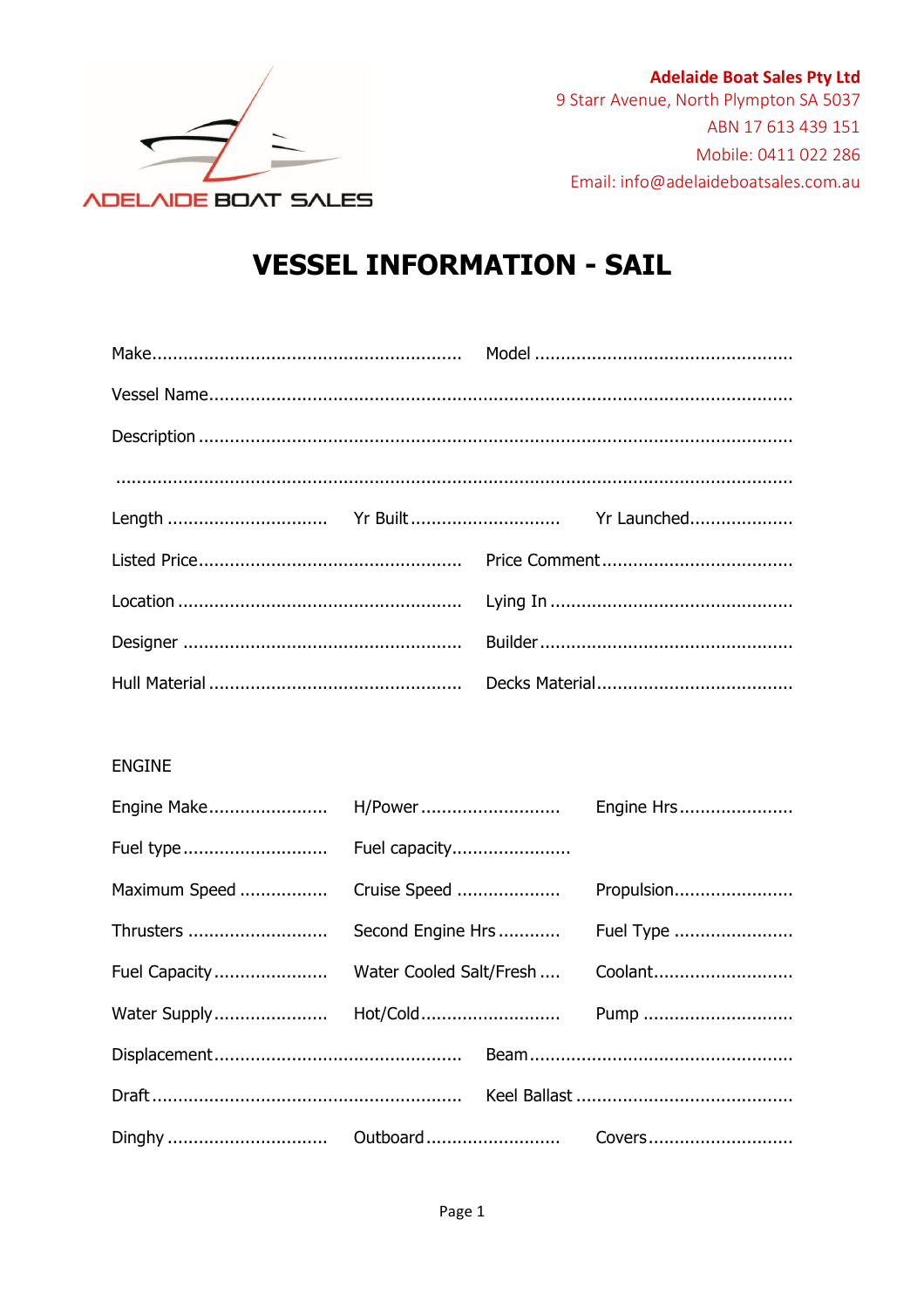

**Adelaide Boat Sales Pty Ltd** 9 Starr Avenue, North Plympton SA 5037 ABN 17 613 439 151 Mobile: 0411 022 286 Email: info@adelaideboatsales.com.au

## **VESSEL INFORMATION - SAIL**

| $\begin{minipage}{0.5\textwidth} \begin{tabular}{ l l l } \hline \multicolumn{1}{ l l l } \hline \multicolumn{1}{ l l } \multicolumn{1}{ l } \multicolumn{1}{ l } \multicolumn{1}{ l } \multicolumn{1}{ l } \multicolumn{1}{ l } \multicolumn{1}{ l } \multicolumn{1}{ l } \multicolumn{1}{ l } \multicolumn{1}{ l } \multicolumn{1}{ l } \multicolumn{1}{ l } \multicolumn{1}{ l } \multicolumn{1}{ l } \multicolumn{1}{ l } \multicolumn$ |  |
|---------------------------------------------------------------------------------------------------------------------------------------------------------------------------------------------------------------------------------------------------------------------------------------------------------------------------------------------------------------------------------------------------------------------------------------------|--|
|                                                                                                                                                                                                                                                                                                                                                                                                                                             |  |
|                                                                                                                                                                                                                                                                                                                                                                                                                                             |  |
|                                                                                                                                                                                                                                                                                                                                                                                                                                             |  |
|                                                                                                                                                                                                                                                                                                                                                                                                                                             |  |
|                                                                                                                                                                                                                                                                                                                                                                                                                                             |  |

## ENGINE

| Maximum Speed  Cruise Speed  Propulsion |  |  |
|-----------------------------------------|--|--|
|                                         |  |  |
|                                         |  |  |
|                                         |  |  |
|                                         |  |  |
|                                         |  |  |
|                                         |  |  |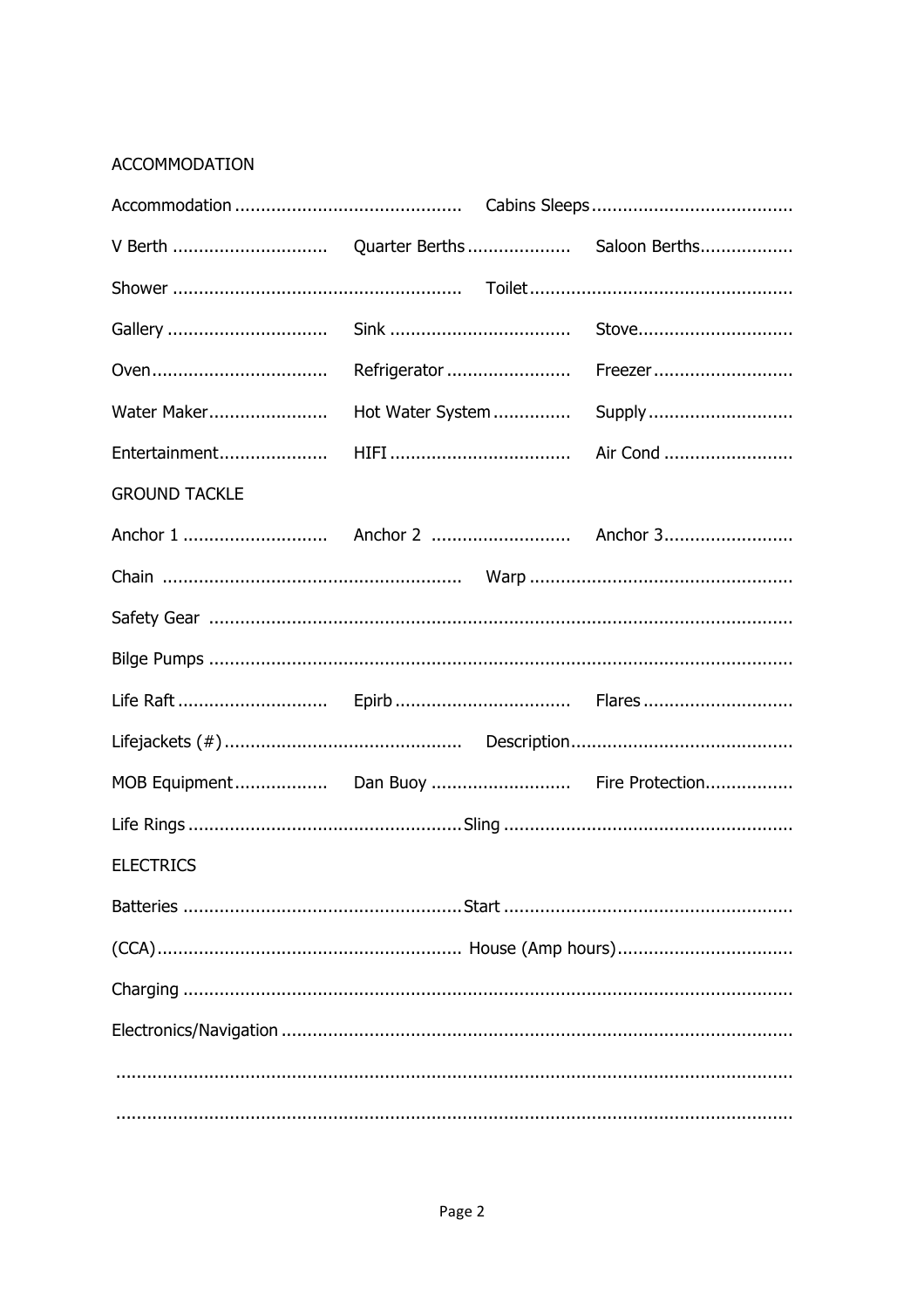## **ACCOMMODATION**

| Water Maker                             |  |  |  |
|-----------------------------------------|--|--|--|
|                                         |  |  |  |
| <b>GROUND TACKLE</b>                    |  |  |  |
|                                         |  |  |  |
|                                         |  |  |  |
|                                         |  |  |  |
|                                         |  |  |  |
|                                         |  |  |  |
|                                         |  |  |  |
| MOB Equipment Dan Buoy  Fire Protection |  |  |  |
|                                         |  |  |  |
| <b>ELECTRICS</b>                        |  |  |  |
|                                         |  |  |  |
|                                         |  |  |  |
|                                         |  |  |  |
|                                         |  |  |  |
|                                         |  |  |  |
|                                         |  |  |  |